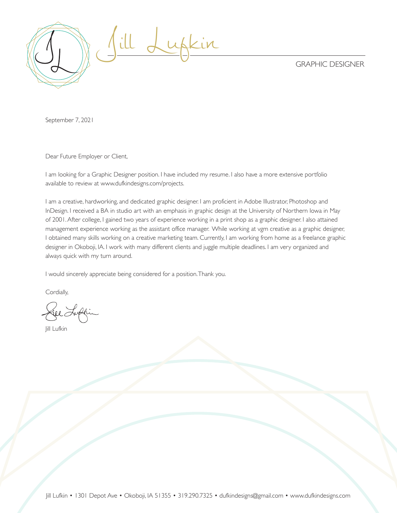GRAPHIC DESIGNER



September 7, 2021

Dear Future Employer or Client,

I am looking for a Graphic Designer position. I have included my resume. I also have a more extensive portfolio available to review at www.dufkindesigns.com/projects.

I am a creative, hardworking, and dedicated graphic designer. I am proficient in Adobe Illustrator, Photoshop and InDesign. I received a BA in studio art with an emphasis in graphic design at the University of Northern Iowa in May of 2001. After college, I gained two years of experience working in a print shop as a graphic designer. I also attained management experience working as the assistant office manager. While working at vgm creative as a graphic designer, I obtained many skills working on a creative marketing team. Currently, I am working from home as a freelance graphic designer in Okoboji, IA. I work with many different clients and juggle multiple deadlines. I am very organized and always quick with my turn around.

I would sincerely appreciate being considered for a position. Thank you.

Cordially,

Jill Lufkin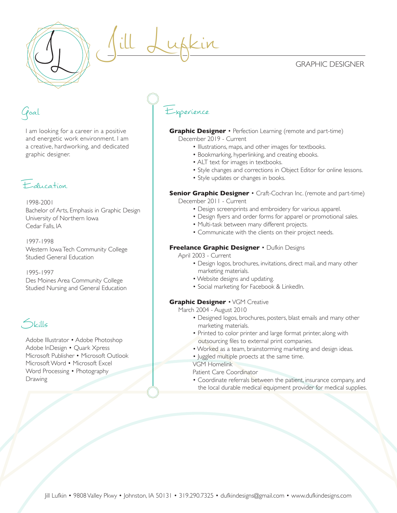### GRAPHIC DESIGNER



## Goal

I am looking for a career in a positive and energetic work environment. I am a creative, hardworking, and dedicated graphic designer.



1998-2001 Bachelor of Arts, Emphasis in Graphic Design University of Northern Iowa Cedar Falls, IA

1997-1998 Western Iowa Tech Community College Studied General Education

1995-1997 Des Moines Area Community College Studied Nursing and General Education

Skills

Adobe Illustrator • Adobe Photoshop Adobe InDesign • Quark Xpress Microsoft Publisher • Microsoft Outlook Microsoft Word • Microsoft Excel Word Processing • Photography Drawing

# Experience

Jill Lufkin

**Graphic Designer** • Perfection Learning (remote and part-time) December 2019 - Current

- Illustrations, maps, and other images for textbooks.
- Bookmarking, hyperlinking, and creating ebooks.
- ALT text for images in textbooks.
- Style changes and corrections in Object Editor for online lessons.
- Style updates or changes in books.

#### **Senior Graphic Designer** • Craft-Cochran Inc. (remote and part-time) December 2011 - Current

- Design screenprints and embroidery for various apparel.
- Design flyers and order forms for apparel or promotional sales.
- Multi-task between many different projects.
- Communicate with the clients on their project needs.

#### **Freelance Graphic Designer** • Dufkin Designs

April 2003 - Current

- Design logos, brochures, invitations, direct mail, and many other marketing materials.
- Website designs and updating.
- Social marketing for Facebook & LinkedIn.

#### **Graphic Designer** • VGM Creative

March 2004 - August 2010

- Designed logos, brochures, posters, blast emails and many other marketing materials.
- Printed to color printer and large format printer, along with outsourcing files to external print companies.
- Worked as a team, brainstorming marketing and design ideas.
- Juggled multiple proects at the same time.

VGM Homelink

Patient Care Coordinator

 • Coordinate referrals between the patient, insurance company, and the local durable medical equipment provider for medical supplies.